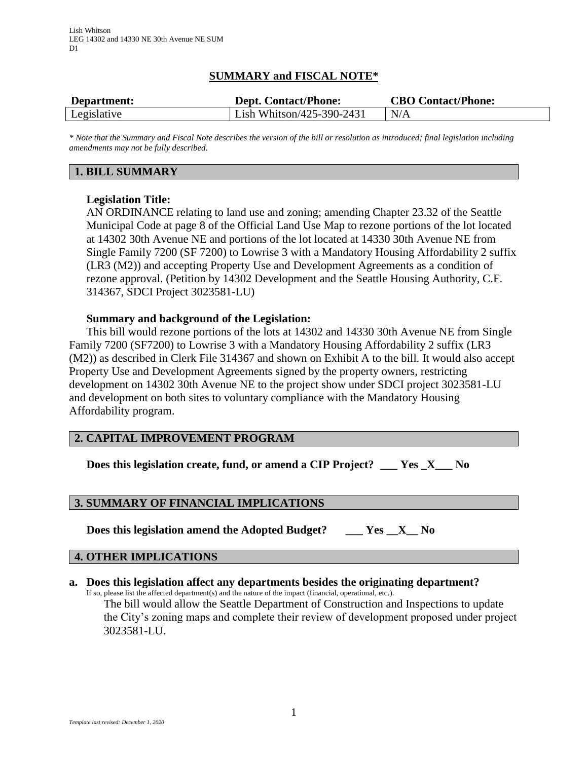# **SUMMARY and FISCAL NOTE\***

| Department: | <b>Dept. Contact/Phone:</b> | <b>CBO Contact/Phone:</b> |
|-------------|-----------------------------|---------------------------|
| Legislative | Lish Whitson/425-390-2431   | N/A                       |

*\* Note that the Summary and Fiscal Note describes the version of the bill or resolution as introduced; final legislation including amendments may not be fully described.*

## **1. BILL SUMMARY**

## **Legislation Title:**

AN ORDINANCE relating to land use and zoning; amending Chapter 23.32 of the Seattle Municipal Code at page 8 of the Official Land Use Map to rezone portions of the lot located at 14302 30th Avenue NE and portions of the lot located at 14330 30th Avenue NE from Single Family 7200 (SF 7200) to Lowrise 3 with a Mandatory Housing Affordability 2 suffix (LR3 (M2)) and accepting Property Use and Development Agreements as a condition of rezone approval. (Petition by 14302 Development and the Seattle Housing Authority, C.F. 314367, SDCI Project 3023581-LU)

### **Summary and background of the Legislation:**

This bill would rezone portions of the lots at 14302 and 14330 30th Avenue NE from Single Family 7200 (SF7200) to Lowrise 3 with a Mandatory Housing Affordability 2 suffix (LR3 (M2)) as described in Clerk File 314367 and shown on Exhibit A to the bill. It would also accept Property Use and Development Agreements signed by the property owners, restricting development on 14302 30th Avenue NE to the project show under SDCI project 3023581-LU and development on both sites to voluntary compliance with the Mandatory Housing Affordability program.

### **2. CAPITAL IMPROVEMENT PROGRAM**

**Does this legislation create, fund, or amend a CIP Project? \_\_\_ Yes \_X\_\_\_ No**

### **3. SUMMARY OF FINANCIAL IMPLICATIONS**

**Does this legislation amend the Adopted Budget? \_\_\_ Yes \_\_X\_\_ No**

#### **4. OTHER IMPLICATIONS**

#### **a. Does this legislation affect any departments besides the originating department?**

If so, please list the affected department(s) and the nature of the impact (financial, operational, etc.).

The bill would allow the Seattle Department of Construction and Inspections to update the City's zoning maps and complete their review of development proposed under project 3023581-LU.